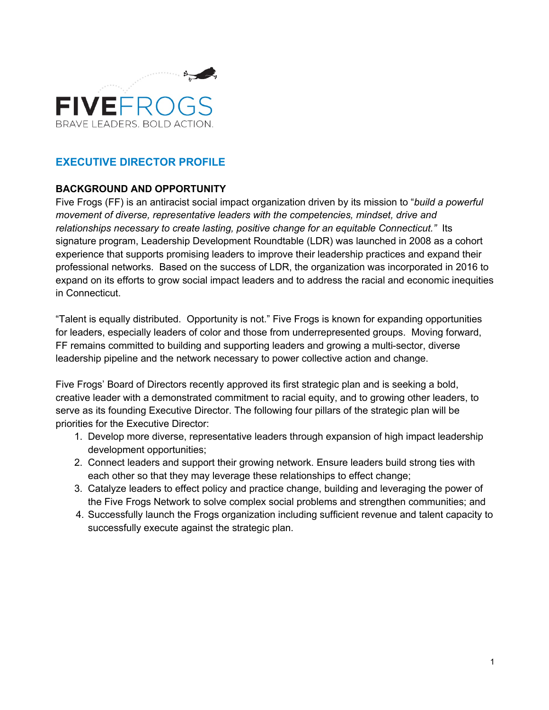

# **EXECUTIVE DIRECTOR PROFILE**

## **BACKGROUND AND OPPORTUNITY**

Five Frogs (FF) is an antiracist social impact organization driven by its mission to "*build a powerful movement of diverse, representative leaders with the competencies, mindset, drive and relationships necessary to create lasting, positive change for an equitable Connecticut."* Its signature program, Leadership Development Roundtable (LDR) was launched in 2008 as a cohort experience that supports promising leaders to improve their leadership practices and expand their professional networks. Based on the success of LDR, the organization was incorporated in 2016 to expand on its efforts to grow social impact leaders and to address the racial and economic inequities in Connecticut.

"Talent is equally distributed. Opportunity is not." Five Frogs is known for expanding opportunities for leaders, especially leaders of color and those from underrepresented groups. Moving forward, FF remains committed to building and supporting leaders and growing a multi-sector, diverse leadership pipeline and the network necessary to power collective action and change.

Five Frogs' Board of Directors recently approved its first strategic plan and is seeking a bold, creative leader with a demonstrated commitment to racial equity, and to growing other leaders, to serve as its founding Executive Director. The following four pillars of the strategic plan will be priorities for the Executive Director:

- 1. Develop more diverse, representative leaders through expansion of high impact leadership development opportunities;
- 2. Connect leaders and support their growing network. Ensure leaders build strong ties with each other so that they may leverage these relationships to effect change;
- 3. Catalyze leaders to effect policy and practice change, building and leveraging the power of the Five Frogs Network to solve complex social problems and strengthen communities; and
- 4. Successfully launch the Frogs organization including sufficient revenue and talent capacity to successfully execute against the strategic plan.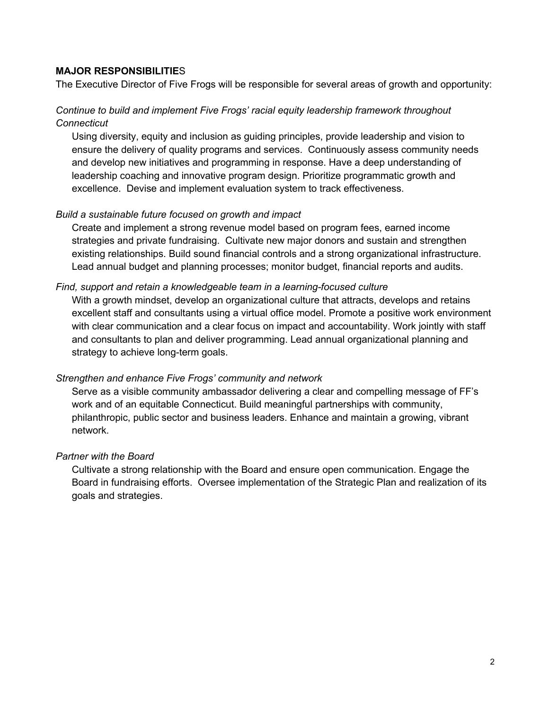## **MAJOR RESPONSIBILITIE**S

The Executive Director of Five Frogs will be responsible for several areas of growth and opportunity:

## *Continue to build and implement Five Frogs' racial equity leadership framework throughout Connecticut*

Using diversity, equity and inclusion as guiding principles, provide leadership and vision to ensure the delivery of quality programs and services. Continuously assess community needs and develop new initiatives and programming in response. Have a deep understanding of leadership coaching and innovative program design. Prioritize programmatic growth and excellence. Devise and implement evaluation system to track effectiveness.

### *Build a sustainable future focused on growth and impact*

Create and implement a strong revenue model based on program fees, earned income strategies and private fundraising. Cultivate new major donors and sustain and strengthen existing relationships. Build sound financial controls and a strong organizational infrastructure. Lead annual budget and planning processes; monitor budget, financial reports and audits.

### *Find, support and retain a knowledgeable team in a learning-focused culture*

With a growth mindset, develop an organizational culture that attracts, develops and retains excellent staff and consultants using a virtual office model. Promote a positive work environment with clear communication and a clear focus on impact and accountability. Work jointly with staff and consultants to plan and deliver programming. Lead annual organizational planning and strategy to achieve long-term goals.

#### *Strengthen and enhance Five Frogs' community and network*

Serve as a visible community ambassador delivering a clear and compelling message of FF's work and of an equitable Connecticut. Build meaningful partnerships with community, philanthropic, public sector and business leaders. Enhance and maintain a growing, vibrant network.

#### *Partner with the Board*

Cultivate a strong relationship with the Board and ensure open communication. Engage the Board in fundraising efforts. Oversee implementation of the Strategic Plan and realization of its goals and strategies.